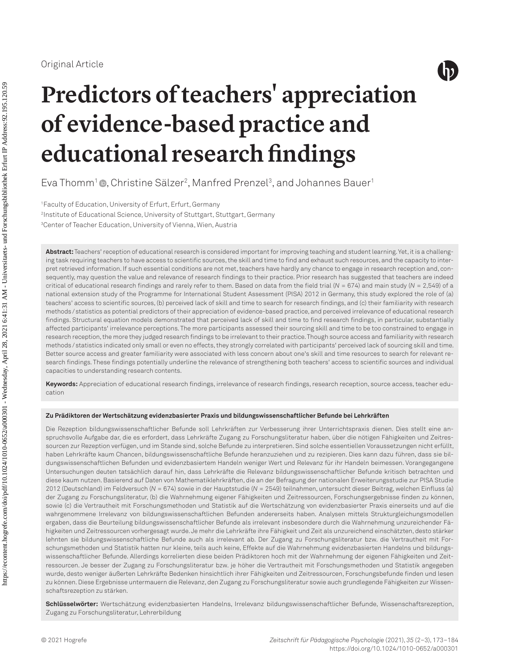

# **Predictors of teachers' appreciation of evidence-based practice and educational research findings**

Eva Thomm<sup>1</sup> **.**, Christine Sälzer<sup>2</sup>, Manfred Prenzel<sup>3</sup>, and Johannes Bauer<sup>1</sup>

1Faculty of Education, University of Erfurt, Erfurt, Germany 2Institute of Educational Science, University of Stuttgart, Stuttgart, Germany 3Center of Teacher Education, University of Vienna, Wien, Austria

**Abstract:** Teachers' reception of educational research is considered important for improving teaching and student learning. Yet, it is a challenging task requiring teachers to have access to scientific sources, the skill and time to find and exhaust such resources, and the capacity to interpret retrieved information. If such essential conditions are not met, teachers have hardly any chance to engage in research reception and, consequently, may question the value and relevance of research findings to their practice. Prior research has suggested that teachers are indeed critical of educational research findings and rarely refer to them. Based on data from the field trial (*N* = 674) and main study (*N* = 2,549) of a national extension study of the Programme for International Student Assessment (PISA) 2012 in Germany, this study explored the role of (a) teachers' access to scientific sources, (b) perceived lack of skill and time to search for research findings, and (c) their familiarity with research methods/statistics as potential predictors of their appreciation of evidence-based practice, and perceived irrelevance of educational research findings. Structural equation models demonstrated that perceived lack of skill and time to find research findings, in particular, substantially affected participants' irrelevance perceptions. The more participants assessed their sourcing skill and time to be too constrained to engage in research reception, the more they judged research findings to be irrelevant to their practice. Though source access and familiarity with research methods/statistics indicated only small or even no effects, they strongly correlated with participants' perceived lack of sourcing skill and time. Better source access and greater familiarity were associated with less concern about one's skill and time resources to search for relevant research findings. These findings potentially underline the relevance of strengthening both teachers' access to scientific sources and individual capacities to understanding research contents.

**Keywords:** Appreciation of educational research findings, irrelevance of research findings, research reception, source access, teacher education

#### **Zu Prädiktoren der Wertschätzung evidenzbasierter Praxis und bildungswissenschaftlicher Befunde bei Lehrkräften**

Die Rezeption bildungswissenschaftlicher Befunde soll Lehrkräften zur Verbesserung ihrer Unterrichtspraxis dienen. Dies stellt eine anspruchsvolle Aufgabe dar, die es erfordert, dass Lehrkräfte Zugang zu Forschungsliteratur haben, über die nötigen Fähigkeiten und Zeitressourcen zur Rezeption verfügen, und im Stande sind, solche Befunde zu interpretieren. Sind solche essentiellen Voraussetzungen nicht erfüllt, haben Lehrkräfte kaum Chancen, bildungswissenschaftliche Befunde heranzuziehen und zu rezipieren. Dies kann dazu führen, dass sie bildungswissenschaftlichen Befunden und evidenzbasiertem Handeln weniger Wert und Relevanz für ihr Handeln beimessen. Vorangegangene Untersuchungen deuten tatsächlich darauf hin, dass Lehrkräfte die Relevanz bildungswissenschaftlicher Befunde kritisch betrachten und diese kaum nutzen. Basierend auf Daten von Mathematiklehrkräften, die an der Befragung der nationalen Erweiterungsstudie zur PISA Studie 2012 (Deutschland) im Feldversuch (*N* = 674) sowie in der Hauptstudie (*N* = 2549) teilnahmen, untersucht dieser Beitrag, welchen Einfluss (a) der Zugang zu Forschungsliteratur, (b) die Wahrnehmung eigener Fähigkeiten und Zeitressourcen, Forschungsergebnisse finden zu können, sowie (c) die Vertrautheit mit Forschungsmethoden und Statistik auf die Wertschätzung von evidenzbasierter Praxis einerseits und auf die wahrgenommene Irrelevanz von bildungswissenschaftlichen Befunden andererseits haben. Analysen mittels Strukturgleichungsmodellen ergaben, dass die Beurteilung bildungswissenschaftlicher Befunde als irrelevant insbesondere durch die Wahrnehmung unzureichender Fähigkeiten und Zeitressourcen vorhergesagt wurde. Je mehr die Lehrkräfte ihre Fähigkeit und Zeit als unzureichend einschätzten, desto stärker lehnten sie bildungswissenschaftliche Befunde auch als irrelevant ab. Der Zugang zu Forschungsliteratur bzw. die Vertrautheit mit Forschungsmethoden und Statistik hatten nur kleine, teils auch keine, Effekte auf die Wahrnehmung evidenzbasierten Handelns und bildungswissenschaftlicher Befunde. Allerdings korrelierten diese beiden Prädiktoren hoch mit der Wahrnehmung der eigenen Fähigkeiten und Zeitressourcen. Je besser der Zugang zu Forschungsliteratur bzw. je höher die Vertrautheit mit Forschungsmethoden und Statistik angegeben wurde, desto weniger äußerten Lehrkräfte Bedenken hinsichtlich ihrer Fähigkeiten und Zeitressourcen, Forschungsbefunde finden und lesen zu können. Diese Ergebnisse untermauern die Relevanz, den Zugang zu Forschungsliteratur sowie auch grundlegende Fähigkeiten zur Wissenschaftsrezeption zu stärken.

**Schlüsselwörter:** Wertschätzung evidenzbasierten Handelns, Irrelevanz bildungswissenschaftlicher Befunde, Wissenschaftsrezeption, Zugang zu Forschungsliteratur, Lehrerbildung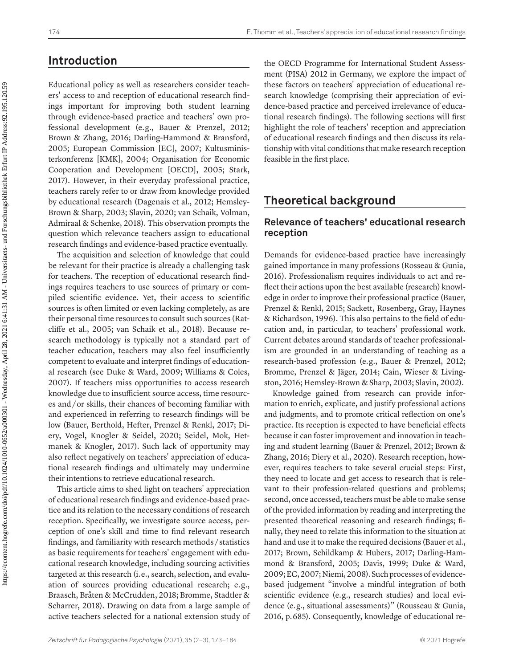# **Introduction**

Educational policy as well as researchers consider teachers' access to and reception of educational research findings important for improving both student learning through evidence-based practice and teachers' own professional development (e. g., Bauer & Prenzel, 2012; Brown & Zhang, 2016; Darling-Hammond & Bransford, 2005; European Commission [EC], 2007; Kultusministerkonferenz [KMK], 2004; Organisation for Economic Cooperation and Development [OECD], 2005; Stark, 2017). However, in their everyday professional practice, teachers rarely refer to or draw from knowledge provided by educational research (Dagenais et al., 2012; Hemsley-Brown & Sharp, 2003; Slavin, 2020; van Schaik, Volman, Admiraal & Schenke, 2018). This observation prompts the question which relevance teachers assign to educational research findings and evidence-based practice eventually.

The acquisition and selection of knowledge that could be relevant for their practice is already a challenging task for teachers. The reception of educational research findings requires teachers to use sources of primary or compiled scientific evidence. Yet, their access to scientific sources is often limited or even lacking completely, as are their personal time resources to consult such sources (Ratcliffe et al., 2005; van Schaik et al., 2018). Because research methodology is typically not a standard part of teacher education, teachers may also feel insufficiently competent to evaluate and interpret findings of educational research (see Duke & Ward, 2009; Williams & Coles, 2007). If teachers miss opportunities to access research knowledge due to insufficient source access, time resources and / or skills, their chances of becoming familiar with and experienced in referring to research findings will be low (Bauer, Berthold, Hefter, Prenzel & Renkl, 2017; Diery, Vogel, Knogler & Seidel, 2020; Seidel, Mok, Hetmanek & Knogler, 2017). Such lack of opportunity may also reflect negatively on teachers' appreciation of educational research findings and ultimately may undermine their intentions to retrieve educational research.

This article aims to shed light on teachers' appreciation of educational research findings and evidence-based practice and its relation to the necessary conditions of research reception. Specifically, we investigate source access, perception of one's skill and time to find relevant research findings, and familiarity with research methods / statistics as basic requirements for teachers' engagement with educational research knowledge, including sourcing activities targeted at this research (i. e., search, selection, and evaluation of sources providing educational research; e. g., Braasch, Bråten & McCrudden, 2018; Bromme, Stadtler & Scharrer, 2018). Drawing on data from a large sample of active teachers selected for a national extension study of the OECD Programme for International Student Assessment (PISA) 2012 in Germany, we explore the impact of these factors on teachers' appreciation of educational research knowledge (comprising their appreciation of evidence-based practice and perceived irrelevance of educational research findings). The following sections will first highlight the role of teachers' reception and appreciation of educational research findings and then discuss its relationship with vital conditions that make research reception feasible in the first place.

# **Theoretical background**

## **Relevance of teachers' educational research reception**

Demands for evidence-based practice have increasingly gained importance in many professions (Rosseau & Gunia, 2016). Professionalism requires individuals to act and reflect their actions upon the best available (research) knowledge in order to improve their professional practice (Bauer, Prenzel & Renkl, 2015; Sackett, Rosenberg, Gray, Haynes & Richardson, 1996). This also pertains to the field of education and, in particular, to teachers' professional work. Current debates around standards of teacher professionalism are grounded in an understanding of teaching as a research-based profession (e. g., Bauer & Prenzel, 2012; Bromme, Prenzel & Jäger, 2014; Cain, Wieser & Livingston, 2016; Hemsley-Brown & Sharp, 2003; Slavin, 2002).

Knowledge gained from research can provide information to enrich, explicate, and justify professional actions and judgments, and to promote critical reflection on one's practice. Its reception is expected to have beneficial effects because it can foster improvement and innovation in teaching and student learning (Bauer & Prenzel, 2012; Brown & Zhang, 2016; Diery et al., 2020). Research reception, however, requires teachers to take several crucial steps: First, they need to locate and get access to research that is relevant to their profession-related questions and problems; second, once accessed, teachers must be able to make sense of the provided information by reading and interpreting the presented theoretical reasoning and research findings; finally, they need to relate this information to the situation at hand and use it to make the required decisions (Bauer et al., 2017; Brown, Schildkamp & Hubers, 2017; Darling-Hammond & Bransford, 2005; Davis, 1999; Duke & Ward, 2009; EC, 2007; Niemi, 2008). Such processes of evidencebased judgement "involve a mindful integration of both scientific evidence (e.g., research studies) and local evidence (e. g., situational assessments)" (Rousseau & Gunia, 2016, p. 685). Consequently, knowledge of educational re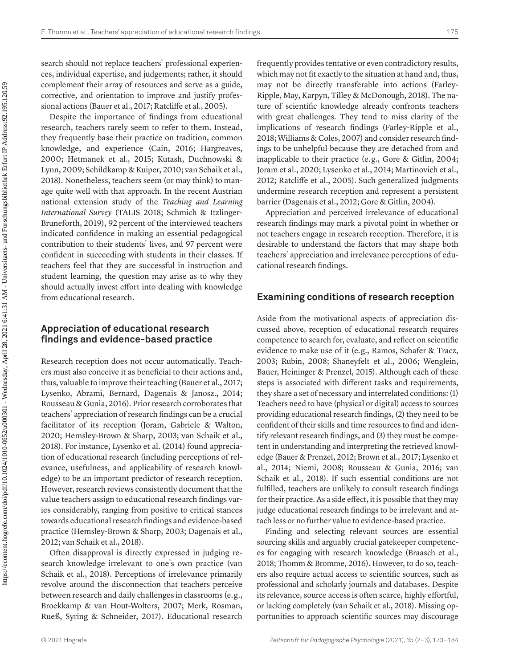search should not replace teachers' professional experiences, individual expertise, and judgements; rather, it should complement their array of resources and serve as a guide, corrective, and orientation to improve and justify professional actions (Bauer et al., 2017; Ratcliffe et al., 2005).

Despite the importance of findings from educational research, teachers rarely seem to refer to them. Instead, they frequently base their practice on tradition, common knowledge, and experience (Cain, 2016; Hargreaves, 2000; Hetmanek et al., 2015; Kutash, Duchnowski & Lynn, 2009; Schildkamp & Kuiper, 2010; van Schaik et al., 2018). Nonetheless, teachers seem (or may think) to manage quite well with that approach. In the recent Austrian national extension study of the *Teaching and Learning International Survey* (TALIS 2018; Schmich & Itzlinger-Bruneforth, 2019), 92 percent of the interviewed teachers indicated confidence in making an essential pedagogical contribution to their students' lives, and 97 percent were confident in succeeding with students in their classes. If teachers feel that they are successful in instruction and student learning, the question may arise as to why they should actually invest effort into dealing with knowledge from educational research.

## **Appreciation of educational research findings and evidence-based practice**

Research reception does not occur automatically. Teachers must also conceive it as beneficial to their actions and, thus, valuable to improve their teaching (Bauer et al., 2017; Lysenko, Abrami, Bernard, Dagenais & Janosz., 2014; Rousseau & Gunia, 2016). Prior research corroborates that teachers' appreciation of research findings can be a crucial facilitator of its reception (Joram, Gabriele & Walton, 2020; Hemsley-Brown & Sharp, 2003; van Schaik et al., 2018). For instance, Lysenko et al. (2014) found appreciation of educational research (including perceptions of relevance, usefulness, and applicability of research knowledge) to be an important predictor of research reception. However, research reviews consistently document that the value teachers assign to educational research findings varies considerably, ranging from positive to critical stances towards educational research findings and evidence-based practice (Hemsley-Brown & Sharp, 2003; Dagenais et al., 2012; van Schaik et al., 2018).

Often disapproval is directly expressed in judging research knowledge irrelevant to one's own practice (van Schaik et al., 2018). Perceptions of irrelevance primarily revolve around the disconnection that teachers perceive between research and daily challenges in classrooms (e. g., Broekkamp & van Hout-Wolters, 2007; Merk, Rosman, Rueß, Syring & Schneider, 2017). Educational research frequently provides tentative or even contradictory results, which may not fit exactly to the situation at hand and, thus, may not be directly transferable into actions (Farley-Ripple, May, Karpyn, Tilley & McDonough, 2018). The nature of scientific knowledge already confronts teachers with great challenges. They tend to miss clarity of the implications of research findings (Farley-Ripple et al., 2018; Williams & Coles, 2007) and consider research findings to be unhelpful because they are detached from and inapplicable to their practice (e. g., Gore & Gitlin, 2004; Joram et al., 2020; Lysenko et al., 2014; Martinovich et al., 2012; Ratcliffe et al., 2005). Such generalized judgments undermine research reception and represent a persistent barrier (Dagenais et al., 2012; Gore & Gitlin, 2004).

Appreciation and perceived irrelevance of educational research findings may mark a pivotal point in whether or not teachers engage in research reception. Therefore, it is desirable to understand the factors that may shape both teachers' appreciation and irrelevance perceptions of educational research findings.

## **Examining conditions of research reception**

Aside from the motivational aspects of appreciation discussed above, reception of educational research requires competence to search for, evaluate, and reflect on scientific evidence to make use of it (e. g., Ramos, Schafer & Tracz, 2003; Rubin, 2008; Shaneyfelt et al., 2006; Wenglein, Bauer, Heininger & Prenzel, 2015). Although each of these steps is associated with different tasks and requirements, they share a set of necessary and interrelated conditions: (1) Teachers need to have (physical or digital) access to sources providing educational research findings, (2) they need to be confident of their skills and time resources to find and identify relevant research findings, and (3) they must be competent in understanding and interpreting the retrieved knowledge (Bauer & Prenzel, 2012; Brown et al., 2017; Lysenko et al., 2014; Niemi, 2008; Rousseau & Gunia, 2016; van Schaik et al., 2018). If such essential conditions are not fulfilled, teachers are unlikely to consult research findings for their practice. As a side effect, it is possible that they may judge educational research findings to be irrelevant and attach less or no further value to evidence-based practice.

Finding and selecting relevant sources are essential sourcing skills and arguably crucial gatekeeper competences for engaging with research knowledge (Braasch et al., 2018; Thomm & Bromme, 2016). However, to do so, teachers also require actual access to scientific sources, such as professional and scholarly journals and databases. Despite its relevance, source access is often scarce, highly effortful, or lacking completely (van Schaik et al., 2018). Missing opportunities to approach scientific sources may discourage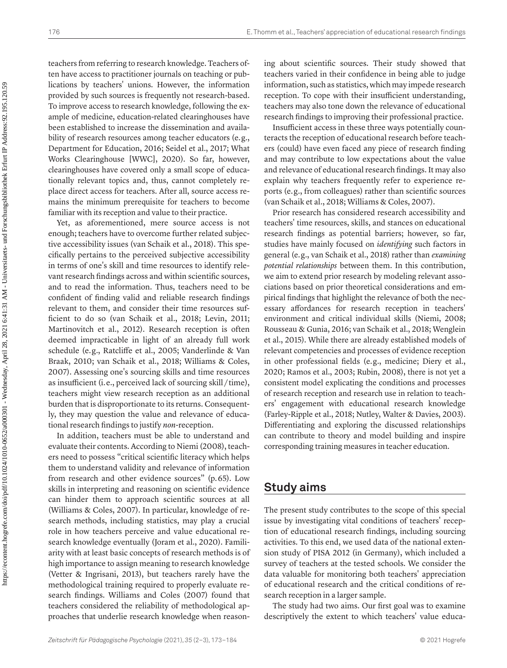teachers from referring to research knowledge. Teachers often have access to practitioner journals on teaching or publications by teachers' unions. However, the information provided by such sources is frequently not research-based. To improve access to research knowledge, following the example of medicine, education-related clearinghouses have been established to increase the dissemination and availability of research resources among teacher educators (e. g., Department for Education, 2016; Seidel et al., 2017; What Works Clearinghouse [WWC], 2020). So far, however, clearinghouses have covered only a small scope of educationally relevant topics and, thus, cannot completely replace direct access for teachers. After all, source access remains the minimum prerequisite for teachers to become familiar with its reception and value to their practice.

Yet, as aforementioned, mere source access is not enough; teachers have to overcome further related subjective accessibility issues (van Schaik et al., 2018). This specifically pertains to the perceived subjective accessibility in terms of one's skill and time resources to identify relevant research findings across and within scientific sources, and to read the information. Thus, teachers need to be confident of finding valid and reliable research findings relevant to them, and consider their time resources sufficient to do so (van Schaik et al., 2018; Levin, 2011; Martinovitch et al., 2012). Research reception is often deemed impracticable in light of an already full work schedule (e. g., Ratcliffe et al., 2005; Vanderlinde & Van Braak, 2010; van Schaik et al., 2018; Williams & Coles, 2007). Assessing one's sourcing skills and time resources as insufficient (i. e., perceived lack of sourcing skill / time), teachers might view research reception as an additional burden that is disproportionate to its returns. Consequently, they may question the value and relevance of educational research findings to justify *non*-reception.

In addition, teachers must be able to understand and evaluate their contents. According to Niemi (2008), teachers need to possess "critical scientific literacy which helps them to understand validity and relevance of information from research and other evidence sources" (p. 65). Low skills in interpreting and reasoning on scientific evidence can hinder them to approach scientific sources at all (Williams & Coles, 2007). In particular, knowledge of research methods, including statistics, may play a crucial role in how teachers perceive and value educational research knowledge eventually (Joram et al., 2020). Familiarity with at least basic concepts of research methods is of high importance to assign meaning to research knowledge (Vetter & Ingrisani, 2013), but teachers rarely have the methodological training required to properly evaluate research findings. Williams and Coles (2007) found that teachers considered the reliability of methodological approaches that underlie research knowledge when reasoning about scientific sources. Their study showed that teachers varied in their confidence in being able to judge information, such as statistics, which may impede research reception. To cope with their insufficient understanding, teachers may also tone down the relevance of educational research findings to improving their professional practice.

Insufficient access in these three ways potentially counteracts the reception of educational research before teachers (could) have even faced any piece of research finding and may contribute to low expectations about the value and relevance of educational research findings. It may also explain why teachers frequently refer to experience reports (e. g., from colleagues) rather than scientific sources (van Schaik et al., 2018; Williams & Coles, 2007).

Prior research has considered research accessibility and teachers' time resources, skills, and stances on educational research findings as potential barriers; however, so far, studies have mainly focused on *identifying* such factors in general (e. g., van Schaik et al., 2018) rather than *examining potential relationships* between them. In this contribution, we aim to extend prior research by modeling relevant associations based on prior theoretical considerations and empirical findings that highlight the relevance of both the necessary affordances for research reception in teachers' environment and critical individual skills (Niemi, 2008; Rousseau & Gunia, 2016; van Schaik et al., 2018; Wenglein et al., 2015). While there are already established models of relevant competencies and processes of evidence reception in other professional fields (e. g., medicine; Diery et al., 2020; Ramos et al., 2003; Rubin, 2008), there is not yet a consistent model explicating the conditions and processes of research reception and research use in relation to teachers' engagement with educational research knowledge (Farley-Ripple et al., 2018; Nutley, Walter & Davies, 2003). Differentiating and exploring the discussed relationships can contribute to theory and model building and inspire corresponding training measures in teacher education.

## **Study aims**

The present study contributes to the scope of this special issue by investigating vital conditions of teachers' reception of educational research findings, including sourcing activities. To this end, we used data of the national extension study of PISA 2012 (in Germany), which included a survey of teachers at the tested schools. We consider the data valuable for monitoring both teachers' appreciation of educational research and the critical conditions of research reception in a larger sample.

The study had two aims. Our first goal was to examine descriptively the extent to which teachers' value educa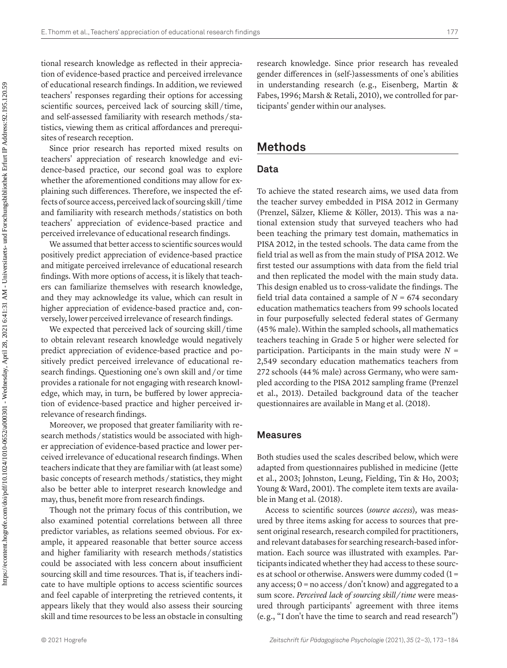tional research knowledge as reflected in their appreciation of evidence-based practice and perceived irrelevance of educational research findings. In addition, we reviewed teachers' responses regarding their options for accessing scientific sources, perceived lack of sourcing skill/time, and self-assessed familiarity with research methods / statistics, viewing them as critical affordances and prerequisites of research reception.

Since prior research has reported mixed results on teachers' appreciation of research knowledge and evidence-based practice, our second goal was to explore whether the aforementioned conditions may allow for explaining such differences. Therefore, we inspected the effects of source access, perceived lack of sourcing skill / time and familiarity with research methods / statistics on both teachers' appreciation of evidence-based practice and perceived irrelevance of educational research findings.

We assumed that better access to scientific sources would positively predict appreciation of evidence-based practice and mitigate perceived irrelevance of educational research findings. With more options of access, it is likely that teachers can familiarize themselves with research knowledge, and they may acknowledge its value, which can result in higher appreciation of evidence-based practice and, conversely, lower perceived irrelevance of research findings.

We expected that perceived lack of sourcing skill/time to obtain relevant research knowledge would negatively predict appreciation of evidence-based practice and positively predict perceived irrelevance of educational research findings. Questioning one's own skill and / or time provides a rationale for not engaging with research knowledge, which may, in turn, be buffered by lower appreciation of evidence-based practice and higher perceived irrelevance of research findings.

Moreover, we proposed that greater familiarity with research methods/statistics would be associated with higher appreciation of evidence-based practice and lower perceived irrelevance of educational research findings. When teachers indicate that they are familiar with (at least some) basic concepts of research methods / statistics, they might also be better able to interpret research knowledge and may, thus, benefit more from research findings.

Though not the primary focus of this contribution, we also examined potential correlations between all three predictor variables, as relations seemed obvious. For example, it appeared reasonable that better source access and higher familiarity with research methods / statistics could be associated with less concern about insufficient sourcing skill and time resources. That is, if teachers indicate to have multiple options to access scientific sources and feel capable of interpreting the retrieved contents, it appears likely that they would also assess their sourcing skill and time resources to be less an obstacle in consulting research knowledge. Since prior research has revealed gender differences in (self-)assessments of one's abilities in understanding research (e. g., Eisenberg, Martin & Fabes, 1996; Marsh & Retali, 2010), we controlled for participants' gender within our analyses.

## **Methods**

## **Data**

To achieve the stated research aims, we used data from the teacher survey embedded in PISA 2012 in Germany (Prenzel, Sälzer, Klieme & Köller, 2013). This was a national extension study that surveyed teachers who had been teaching the primary test domain, mathematics in PISA 2012, in the tested schools. The data came from the field trial as well as from the main study of PISA 2012. We first tested our assumptions with data from the field trial and then replicated the model with the main study data. This design enabled us to cross-validate the findings. The field trial data contained a sample of  $N = 674$  secondary education mathematics teachers from 99 schools located in four purposefully selected federal states of Germany (45 % male). Within the sampled schools, all mathematics teachers teaching in Grade 5 or higher were selected for participation. Participants in the main study were  $N =$ 2,549 secondary education mathematics teachers from 272 schools (44 % male) across Germany, who were sampled according to the PISA 2012 sampling frame (Prenzel et al., 2013). Detailed background data of the teacher questionnaires are available in Mang et al. (2018).

#### **Measures**

Both studies used the scales described below, which were adapted from questionnaires published in medicine (Jette et al., 2003; Johnston, Leung, Fielding, Tin & Ho, 2003; Young & Ward, 2001). The complete item texts are available in Mang et al. (2018).

Access to scientific sources (*source access*)*,* was measured by three items asking for access to sources that present original research, research compiled for practitioners, and relevant databases for searching research-based information. Each source was illustrated with examples. Participants indicated whether they had access to these sources at school or otherwise. Answers were dummy coded (1 = any access; 0 = no access / don't know) and aggregated to a sum score. *Perceived lack of sourcing skill / time* were measured through participants' agreement with three items (e. g., "I don't have the time to search and read research")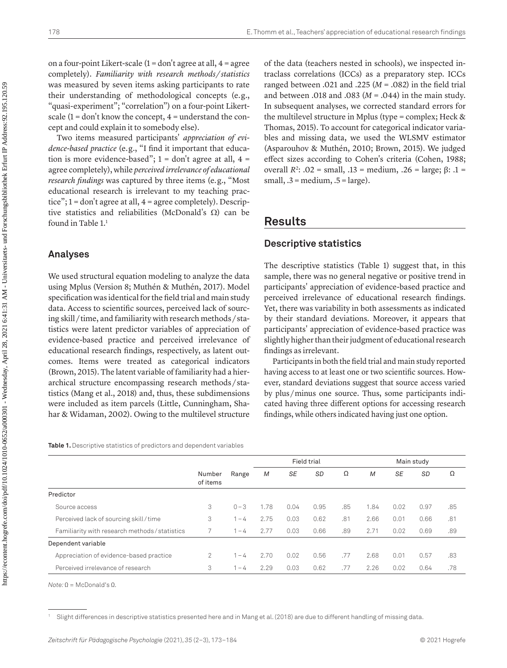on a four-point Likert-scale  $(1 = don't)$  agree at all,  $4 =$  agree completely). *Familiarity with research methods / statistics* was measured by seven items asking participants to rate their understanding of methodological concepts (e. g., "quasi-experiment"; "correlation") on a four-point Likertscale  $(1 = don't know the concept, 4 = understand the con$ cept and could explain it to somebody else).

Two items measured participants' *appreciation of evidence-based practice* (e. g., "I find it important that education is more evidence-based";  $1 =$  don't agree at all,  $4 =$ agree completely), while *perceived irrelevance of educational research findings* was captured by three items (e. g., "Most educational research is irrelevant to my teaching practice";  $1 =$  don't agree at all,  $4 =$  agree completely). Descriptive statistics and reliabilities (McDonald's Ω) can be found in Table 1.1

## **Analyses**

We used structural equation modeling to analyze the data using Mplus (Version 8; Muthén & Muthén, 2017). Model specification was identical for the field trial and main study data. Access to scientific sources, perceived lack of sourcing skill / time, and familiarity with research methods / statistics were latent predictor variables of appreciation of evidence-based practice and perceived irrelevance of educational research findings, respectively, as latent outcomes. Items were treated as categorical indicators (Brown, 2015). The latent variable of familiarity had a hierarchical structure encompassing research methods / statistics (Mang et al., 2018) and, thus, these subdimensions were included as item parcels (Little, Cunningham, Shahar & Widaman, 2002). Owing to the multilevel structure of the data (teachers nested in schools), we inspected intraclass correlations (ICCs) as a preparatory step. ICCs ranged between .021 and .225 ( $M = .082$ ) in the field trial and between .018 and .083 ( $M = .044$ ) in the main study. In subsequent analyses, we corrected standard errors for the multilevel structure in Mplus (type = complex; Heck & Thomas, 2015). To account for categorical indicator variables and missing data, we used the WLSMV estimator (Asparouhov & Muthén, 2010; Brown, 2015). We judged effect sizes according to Cohen's criteria (Cohen, 1988; overall *R*<sup>2</sup> : .02 = small, .13 = medium, .26 = large; β: .1 = small,  $.3 = \text{medium}, .5 = \text{large}$ .

## **Results**

## **Descriptive statistics**

The descriptive statistics (Table 1) suggest that, in this sample, there was no general negative or positive trend in participants' appreciation of evidence-based practice and perceived irrelevance of educational research findings. Yet, there was variability in both assessments as indicated by their standard deviations. Moreover, it appears that participants' appreciation of evidence-based practice was slightly higher than their judgment of educational research findings as irrelevant.

Participants in both the field trial and main study reported having access to at least one or two scientific sources. However, standard deviations suggest that source access varied by plus / minus one source. Thus, some participants indicated having three different options for accessing research findings, while others indicated having just one option.

| utps://econtent.hogrefe.com/doi/pdf/10.1024/1010-0652/a0000301 - Wednesday, April 28, 2021 6:41:31 AM - Universitets- und Forschungsbibliothek Erfurt IP Address:92.195.120.59 |  |  |  |
|--------------------------------------------------------------------------------------------------------------------------------------------------------------------------------|--|--|--|
|--------------------------------------------------------------------------------------------------------------------------------------------------------------------------------|--|--|--|

Table 1. Descriptive statistics of predictors and dependent variables

|                                              |                    |         | <b>Field trial</b> |      |      | Main study |      |           |      |     |
|----------------------------------------------|--------------------|---------|--------------------|------|------|------------|------|-----------|------|-----|
|                                              | Number<br>of items | Range   | M                  | SE   | SD   | Ω          | M    | <b>SE</b> | SD   | Ω   |
| Predictor                                    |                    |         |                    |      |      |            |      |           |      |     |
| Source access                                | 3                  | $0 - 3$ | 1.78               | 0.04 | 0.95 | .85        | 1.84 | 0.02      | 0.97 | .85 |
| Perceived lack of sourcing skill/time        | 3                  | $-4$    | 2.75               | 0.03 | 0.62 | .81        | 2.66 | 0.01      | 0.66 | .81 |
| Familiarity with research methods/statistics |                    | $-4$    | 2.77               | 0.03 | 0.66 | .89        | 2.71 | 0.02      | 0.69 | .89 |
| Dependent variable                           |                    |         |                    |      |      |            |      |           |      |     |
| Appreciation of evidence-based practice      | 2                  | $-4$    | 2.70               | 0.02 | 0.56 | .77        | 2.68 | 0.01      | 0.57 | .83 |
| Perceived irrelevance of research            | 3                  | $-4$    | 2.29               | 0.03 | 0.62 | .77        | 2.26 | 0.02      | 0.64 | .78 |

*Note:* Ω = McDonald's Ω.

<sup>1</sup> Slight differences in descriptive statistics presented here and in Mang et al. (2018) are due to different handling of missing data.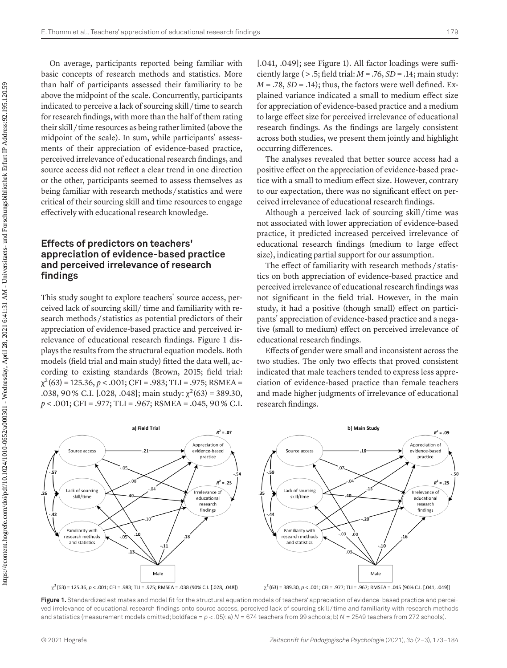On average, participants reported being familiar with basic concepts of research methods and statistics. More than half of participants assessed their familiarity to be above the midpoint of the scale. Concurrently, participants indicated to perceive a lack of sourcing skill / time to search for research findings, with more than the half of them rating their skill / time resources as being rather limited (above the midpoint of the scale). In sum, while participants' assessments of their appreciation of evidence-based practice, perceived irrelevance of educational research findings, and source access did not reflect a clear trend in one direction or the other, participants seemed to assess themselves as being familiar with research methods / statistics and were critical of their sourcing skill and time resources to engage effectively with educational research knowledge.

## **Effects of predictors on teachers' appreciation of evidence-based practice and perceived irrelevance of research findings**

This study sought to explore teachers' source access, perceived lack of sourcing skill/ time and familiarity with research methods/statistics as potential predictors of their appreciation of evidence-based practice and perceived irrelevance of educational research findings. Figure 1 displays the results from the structural equation models. Both models (field trial and main study) fitted the data well, according to existing standards (Brown, 2015; field trial:  $\chi^2$ (63) = 125.36, *p* < .001; CFI = .983; TLI = .975; RSMEA = .038, 90 % C.I. [.028, .048]; main study:  $\chi^2(63) = 389.30$ , *p* < .001; CFI = .977; TLI = .967; RSMEA = .045, 90 % C.I. [.041, .049]; see Figure 1). All factor loadings were sufficiently large ( > .5; field trial: *M* = .76, *SD* = .14; main study:  $M = .78$ ,  $SD = .14$ ); thus, the factors were well defined. Explained variance indicated a small to medium effect size for appreciation of evidence-based practice and a medium to large effect size for perceived irrelevance of educational research findings. As the findings are largely consistent across both studies, we present them jointly and highlight occurring differences.

The analyses revealed that better source access had a positive effect on the appreciation of evidence-based practice with a small to medium effect size. However, contrary to our expectation, there was no significant effect on perceived irrelevance of educational research findings.

Although a perceived lack of sourcing skill / time was not associated with lower appreciation of evidence-based practice, it predicted increased perceived irrelevance of educational research findings (medium to large effect size), indicating partial support for our assumption.

The effect of familiarity with research methods / statistics on both appreciation of evidence-based practice and perceived irrelevance of educational research findings was not significant in the field trial. However, in the main study, it had a positive (though small) effect on participants' appreciation of evidence-based practice and a negative (small to medium) effect on perceived irrelevance of educational research findings.

Effects of gender were small and inconsistent across the two studies. The only two effects that proved consistent indicated that male teachers tended to express less appreciation of evidence-based practice than female teachers and made higher judgments of irrelevance of educational research findings.



**Figure 1.** Standardized estimates and model fit for the structural equation models of teachers' appreciation of evidence-based practice and perceived irrelevance of educational research findings onto source access, perceived lack of sourcing skill/time and familiarity with research methods and statistics (measurement models omitted; boldface = *p* < .05): a) *N* = 674 teachers from 99 schools; b) *N* = 2549 teachers from 272 schools).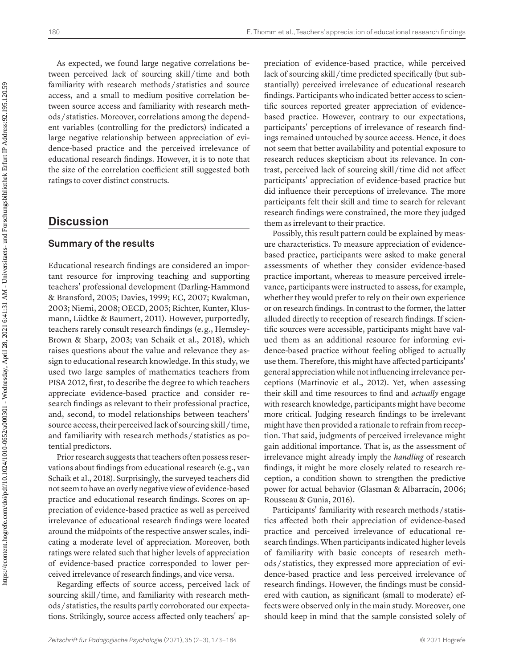As expected, we found large negative correlations between perceived lack of sourcing skill / time and both familiarity with research methods/statistics and source access, and a small to medium positive correlation between source access and familiarity with research methods / statistics. Moreover, correlations among the dependent variables (controlling for the predictors) indicated a large negative relationship between appreciation of evidence-based practice and the perceived irrelevance of educational research findings. However, it is to note that the size of the correlation coefficient still suggested both ratings to cover distinct constructs.

## **Discussion**

## **Summary of the results**

Educational research findings are considered an important resource for improving teaching and supporting teachers' professional development (Darling-Hammond & Bransford, 2005; Davies, 1999; EC, 2007; Kwakman, 2003; Niemi, 2008; OECD, 2005; Richter, Kunter, Klusmann, Lüdtke & Baumert, 2011). However, purportedly, teachers rarely consult research findings (e. g., Hemsley-Brown & Sharp, 2003; van Schaik et al., 2018), which raises questions about the value and relevance they assign to educational research knowledge. In this study, we used two large samples of mathematics teachers from PISA 2012, first, to describe the degree to which teachers appreciate evidence-based practice and consider research findings as relevant to their professional practice, and, second, to model relationships between teachers' source access, their perceived lack of sourcing skill / time, and familiarity with research methods / statistics as potential predictors.

Prior research suggests that teachers often possess reservations about findings from educational research (e. g., van Schaik et al., 2018). Surprisingly, the surveyed teachers did not seem to have an overly negative view of evidence-based practice and educational research findings. Scores on appreciation of evidence-based practice as well as perceived irrelevance of educational research findings were located around the midpoints of the respective answer scales, indicating a moderate level of appreciation. Moreover, both ratings were related such that higher levels of appreciation of evidence-based practice corresponded to lower perceived irrelevance of research findings, and vice versa.

Regarding effects of source access, perceived lack of sourcing skill/time, and familiarity with research methods / statistics, the results partly corroborated our expectations. Strikingly, source access affected only teachers' appreciation of evidence-based practice, while perceived lack of sourcing skill / time predicted specifically (but substantially) perceived irrelevance of educational research findings. Participants who indicated better access to scientific sources reported greater appreciation of evidencebased practice. However, contrary to our expectations, participants' perceptions of irrelevance of research findings remained untouched by source access. Hence, it does not seem that better availability and potential exposure to research reduces skepticism about its relevance. In contrast, perceived lack of sourcing skill / time did not affect participants' appreciation of evidence-based practice but did influence their perceptions of irrelevance. The more participants felt their skill and time to search for relevant research findings were constrained, the more they judged them as irrelevant to their practice.

Possibly, this result pattern could be explained by measure characteristics. To measure appreciation of evidencebased practice, participants were asked to make general assessments of whether they consider evidence-based practice important, whereas to measure perceived irrelevance, participants were instructed to assess, for example, whether they would prefer to rely on their own experience or on research findings. In contrast to the former, the latter alluded directly to reception of research findings. If scientific sources were accessible, participants might have valued them as an additional resource for informing evidence-based practice without feeling obliged to actually use them. Therefore, this might have affected participants' general appreciation while not influencing irrelevance perceptions (Martinovic et al., 2012). Yet, when assessing their skill and time resources to find and *actually* engage with research knowledge, participants might have become more critical. Judging research findings to be irrelevant might have then provided a rationale to refrain from reception. That said, judgments of perceived irrelevance might gain additional importance. That is, as the assessment of irrelevance might already imply the *handling* of research findings, it might be more closely related to research reception, a condition shown to strengthen the predictive power for actual behavior (Glasman & Albarracín, 2006; Rousseau & Gunia, 2016).

Participants' familiarity with research methods / statistics affected both their appreciation of evidence-based practice and perceived irrelevance of educational research findings. When participants indicated higher levels of familiarity with basic concepts of research methods / statistics, they expressed more appreciation of evidence-based practice and less perceived irrelevance of research findings. However, the findings must be considered with caution, as significant (small to moderate) effects were observed only in the main study. Moreover, one should keep in mind that the sample consisted solely of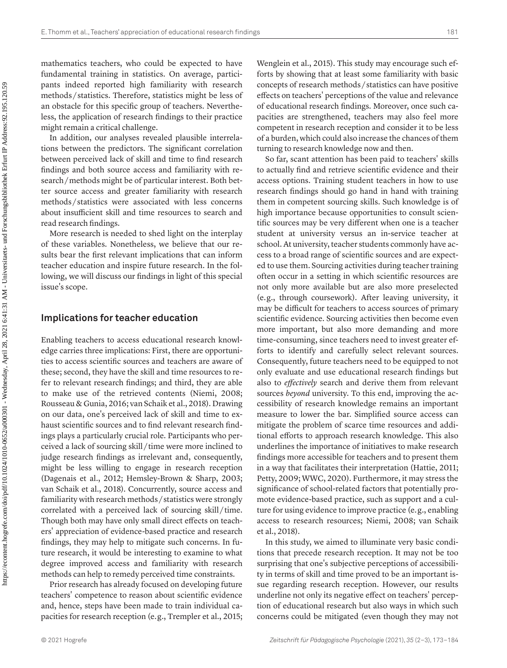mathematics teachers, who could be expected to have fundamental training in statistics. On average, participants indeed reported high familiarity with research methods / statistics. Therefore, statistics might be less of an obstacle for this specific group of teachers. Nevertheless, the application of research findings to their practice might remain a critical challenge.

In addition, our analyses revealed plausible interrelations between the predictors. The significant correlation between perceived lack of skill and time to find research findings and both source access and familiarity with research / methods might be of particular interest. Both better source access and greater familiarity with research methods / statistics were associated with less concerns about insufficient skill and time resources to search and read research findings.

More research is needed to shed light on the interplay of these variables. Nonetheless, we believe that our results bear the first relevant implications that can inform teacher education and inspire future research. In the following, we will discuss our findings in light of this special issue's scope.

#### **Implications for teacher education**

Enabling teachers to access educational research knowledge carries three implications: First, there are opportunities to access scientific sources and teachers are aware of these; second, they have the skill and time resources to refer to relevant research findings; and third, they are able to make use of the retrieved contents (Niemi, 2008; Rousseau & Gunia, 2016; van Schaik et al., 2018). Drawing on our data, one's perceived lack of skill and time to exhaust scientific sources and to find relevant research findings plays a particularly crucial role. Participants who perceived a lack of sourcing skill / time were more inclined to judge research findings as irrelevant and, consequently, might be less willing to engage in research reception (Dagenais et al., 2012; Hemsley-Brown & Sharp, 2003; van Schaik et al., 2018). Concurrently, source access and familiarity with research methods / statistics were strongly correlated with a perceived lack of sourcing skill / time. Though both may have only small direct effects on teachers' appreciation of evidence-based practice and research findings, they may help to mitigate such concerns. In future research, it would be interesting to examine to what degree improved access and familiarity with research methods can help to remedy perceived time constraints.

Prior research has already focused on developing future teachers' competence to reason about scientific evidence and, hence, steps have been made to train individual capacities for research reception (e. g., Trempler et al., 2015; Wenglein et al., 2015). This study may encourage such efforts by showing that at least some familiarity with basic concepts of research methods / statistics can have positive effects on teachers' perceptions of the value and relevance of educational research findings. Moreover, once such capacities are strengthened, teachers may also feel more competent in research reception and consider it to be less of a burden, which could also increase the chances of them turning to research knowledge now and then.

So far, scant attention has been paid to teachers' skills to actually find and retrieve scientific evidence and their access options. Training student teachers in how to use research findings should go hand in hand with training them in competent sourcing skills. Such knowledge is of high importance because opportunities to consult scientific sources may be very different when one is a teacher student at university versus an in-service teacher at school. At university, teacher students commonly have access to a broad range of scientific sources and are expected to use them. Sourcing activities during teacher training often occur in a setting in which scientific resources are not only more available but are also more preselected (e. g., through coursework). After leaving university, it may be difficult for teachers to access sources of primary scientific evidence. Sourcing activities then become even more important, but also more demanding and more time-consuming, since teachers need to invest greater efforts to identify and carefully select relevant sources. Consequently, future teachers need to be equipped to not only evaluate and use educational research findings but also to *effectively* search and derive them from relevant sources *beyond* university. To this end, improving the accessibility of research knowledge remains an important measure to lower the bar. Simplified source access can mitigate the problem of scarce time resources and additional efforts to approach research knowledge. This also underlines the importance of initiatives to make research findings more accessible for teachers and to present them in a way that facilitates their interpretation (Hattie, 2011; Petty, 2009; WWC, 2020). Furthermore, it may stress the significance of school-related factors that potentially promote evidence-based practice, such as support and a culture for using evidence to improve practice (e. g., enabling access to research resources; Niemi, 2008; van Schaik et al., 2018).

In this study, we aimed to illuminate very basic conditions that precede research reception. It may not be too surprising that one's subjective perceptions of accessibility in terms of skill and time proved to be an important issue regarding research reception. However, our results underline not only its negative effect on teachers' perception of educational research but also ways in which such concerns could be mitigated (even though they may not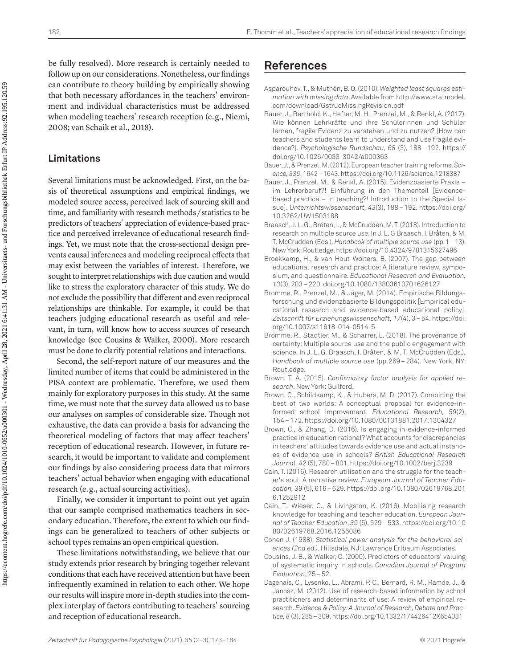be fully resolved). More research is certainly needed to follow up on our considerations. Nonetheless, our findings can contribute to theory building by empirically showing that both necessary affordances in the teachers' environment and individual characteristics must be addressed when modeling teachers' research reception (e. g., Niemi, 2008; van Schaik et al., 2018).

## **Limitations**

Several limitations must be acknowledged. First, on the basis of theoretical assumptions and empirical findings, we modeled source access, perceived lack of sourcing skill and time, and familiarity with research methods / statistics to be predictors of teachers' appreciation of evidence-based practice and perceived irrelevance of educational research findings. Yet, we must note that the cross-sectional design prevents causal inferences and modeling reciprocal effects that may exist between the variables of interest. Therefore, we sought to interpret relationships with due caution and would like to stress the exploratory character of this study. We do not exclude the possibility that different and even reciprocal relationships are thinkable. For example, it could be that teachers judging educational research as useful and relevant, in turn, will know how to access sources of research knowledge (see Cousins & Walker, 2000). More research must be done to clarify potential relations and interactions.

Second, the self-report nature of our measures and the limited number of items that could be administered in the PISA context are problematic. Therefore, we used them mainly for exploratory purposes in this study. At the same time, we must note that the survey data allowed us to base our analyses on samples of considerable size. Though not exhaustive, the data can provide a basis for advancing the theoretical modeling of factors that may affect teachers' reception of educational research. However, in future research, it would be important to validate and complement our findings by also considering process data that mirrors teachers' actual behavior when engaging with educational research (e. g., actual sourcing activities).

Finally, we consider it important to point out yet again that our sample comprised mathematics teachers in secondary education. Therefore, the extent to which our findings can be generalized to teachers of other subjects or school types remains an open empirical question.

These limitations notwithstanding, we believe that our study extends prior research by bringing together relevant conditions that each have received attention but have been infrequently examined in relation to each other. We hope our results will inspire more in-depth studies into the complex interplay of factors contributing to teachers' sourcing and reception of educational research.

# **References**

- Asparouhov, T., & Muthén, B. O. (2010). *Weighted least squares estimation with missing data*. Available from [http://www.statmodel.](http://www.statmodel.com/download/GstrucMissingRevision.pdf) [com/download/GstrucMissingRevision.pdf](http://www.statmodel.com/download/GstrucMissingRevision.pdf)
- Bauer, J., Berthold, K., Hefter, M. H., Prenzel, M., & Renkl, A. (2017). Wie können Lehrkräfte und ihre Schülerinnen und Schüler lernen, fragile Evidenz zu verstehen und zu nutzen? [How can teachers and students learn to understand and use fragile evidence?]. *Psychologische Rundschau, 68* (3), 188–192. [https://](https://doi.org/10.1026/0033-3042/a000363) [doi.org/10.1026/0033-3042/a000363](https://doi.org/10.1026/0033-3042/a000363)
- Bauer, J., & Prenzel, M. (2012). European teacher training reforms. *Science, 336*, 1642–1643.<https://doi.org/10.1126/science.1218387>
- Bauer, J., Prenzel, M., & Renkl, A. (2015). Evidenzbasierte Praxis im Lehrerberuf?! Einführung in den Thementeil [Evidencebased practice – In teaching?! Introduction to the Special Issue]. *Unterrichtswissenschaft, 43*(3), 188–192. [https://doi.org/](https://doi.org/​10.3262/UW1503188) [10.3262/UW1503188](https://doi.org/​10.3262/UW1503188)
- Braasch, J. L. G., Bråten, I., & McCrudden, M. T. (2018). Introduction to research on multiple source use. In J. L. G Braasch, I. Bråten, & M. T. McCrudden (Eds.), *Handbook of multiple source use* (pp.1–13). New York: Routledge. <https://doi.org/10.4324/9781315627496>
- Broekkamp, H., & van Hout-Wolters, B. (2007). The gap between educational research and practice: A literature review, symposium, and questionnaire. *Educational Research and Evaluation, 13*(3), 203–220. doi.org/10.1080/13803610701626127
- Bromme, R., Prenzel, M., & Jäger, M. (2014). Empirische Bildungsforschung und evidenzbasierte Bildungspolitik [Empirical educational research and evidence-based educational policy]. *Zeitschrift für Erziehungswissenschaft, 17*(4), 3–54. [https://doi.](https://doi.org/10.1007/s11618-014-0514-5) [org/10.1007/s11618-014-0514-5](https://doi.org/10.1007/s11618-014-0514-5)
- Bromme, R., Stadtler, M., & Scharrer, L. (2018). The provenance of certainty: Multiple source use and the public engagement with science. In J. L. G. Braasch, I. Bråten, & M. T. McCrudden (Eds.), *Handbook of multiple source use* (pp.269–284). New York, NY: Routledge.
- Brown, T. A. (2015). *Confirmatory factor analysis for applied research*. New York: Guilford.
- Brown, C., Schildkamp, K., & Hubers, M. D. (2017). Combining the best of two worlds: A conceptual proposal for evidence-informed school improvement. *Educational Research, 59*(2), 154–172.<https://doi.org/10.1080/00131881.2017.1304327>
- Brown, C., & Zhang, D. (2016). Is engaging in evidence-informed practice in education rational? What accounts for discrepancies in teachers' attitudes towards evidence use and actual instances of evidence use in schools? *British Educational Research Journal, 42* (5), 780–801.<https://doi.org/10.1002/berj.3239>
- Cain, T. (2016). Research utilisation and the struggle for the teacher's soul: A narrative review. *European Journal of Teacher Education, 39* (5), 616–629. [https://doi.org/10.1080/02619768.201](https://doi.org/10.1080/02619768.2016.1252912) [6.1252912](https://doi.org/10.1080/02619768.2016.1252912)
- Cain, T., Wieser, C., & Livingston, K. (2016). Mobilising research knowledge for teaching and teacher education. *European Journal of Teacher Education*, *39* (5), 529–533. [https://doi.org/10.10](https://doi.org/10.1080/02619768.2016.1256086) [80/02619768.2016.1256086](https://doi.org/10.1080/02619768.2016.1256086)
- Cohen J. (1988). *Statistical power analysis for the behavioral sciences (2nd ed.)*. Hillsdale, NJ: Lawrence Erlbaum Associates.
- Cousins, J. B., & Walker, C. (2000). Predictors of educators' valuing of systematic inquiry in schools. *Canadian Journal of Program Evaluation*, 25–52.
- Dagenais, C., Lysenko, L., Abrami, P. C., Bernard, R. M., Ramde, J., & Janosz, M. (2012). Use of research-based information by school practitioners and determinants of use: A review of empirical research. *Evidence & Policy: A Journal of Research, Debate and Practice, 8* (3), 285–309.<https://doi.org/10.1332/174426412X654031>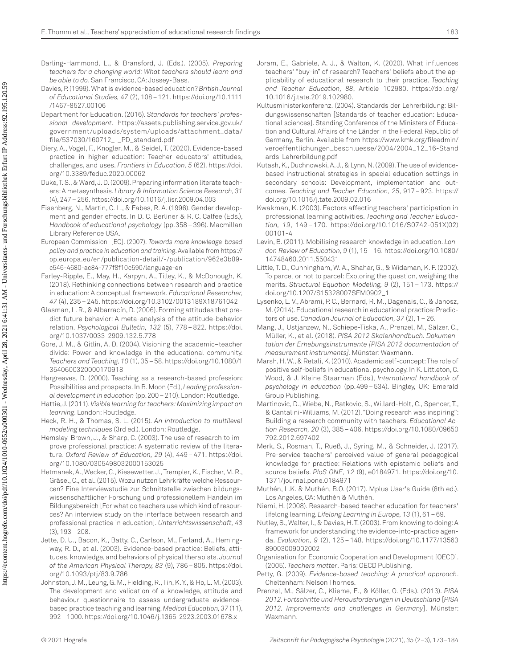- Darling-Hammond, L., & Bransford, J. (Eds.). (2005). *Preparing teachers for a changing world: What teachers should learn and be able to do*. San Francisco, CA: Jossey-Bass.
- Davies, P. (1999). What is evidence-based education? *British Journal of Educational Studies, 47* (2), 108–121. [https://doi.org/10.1111](https://doi.org/10.1111​/1467-8527.00106) [/1467-8527.00106](https://doi.org/10.1111​/1467-8527.00106)
- Department for Education. (2016). *Standards for teachers' professional development*. [https://assets.publishing.service.gov.uk/](https://assets.publishing.service.gov.uk/government/uploads/system/uploads/attachment_data/file/537030/160712_-_PD_standard.pdf) [government/uploads/system/uploads/attachment\\_data/](https://assets.publishing.service.gov.uk/government/uploads/system/uploads/attachment_data/file/537030/160712_-_PD_standard.pdf) [file/537030/160712\\_-\\_PD\\_standard.pdf](https://assets.publishing.service.gov.uk/government/uploads/system/uploads/attachment_data/file/537030/160712_-_PD_standard.pdf)
- Diery, A., Vogel, F., Knogler, M., & Seidel, T. (2020). Evidence-based practice in higher education: Teacher educators' attitudes, challenges, and uses. *Frontiers in Education, 5* (62). [https://doi.](https://doi.org/10.3389/feduc.2020.00062) [org/10.3389/feduc.2020.00062](https://doi.org/10.3389/feduc.2020.00062)
- Duke, T. S., & Ward, J. D. (2009). Preparing information literate teachers: A metasynthesis. *Library & Information Science Research, 31* (4), 247–256.<https://doi.org/10.1016/j.lisr.2009.04.003>
- Eisenberg, N., Martin, C. L., & Fabes, R. A. (1996). Gender development and gender effects. In D. C. Berliner & R. C. Calfee (Eds.), *Handbook of educational psychology* (pp.358–396). Macmillan Library Reference USA.
- European Commission [EC]. (2007). *Towards more knowledge-based policy and practice in education and training*. Available from [https://](https://op.europa.eu/en/publication-detail/-/publication/962e3b89-c546-4680-ac84-777f8f10c590/language-en) [op.europa.eu/en/publication-detail/-/publication/962e3b89](https://op.europa.eu/en/publication-detail/-/publication/962e3b89-c546-4680-ac84-777f8f10c590/language-en) [c546-4680-ac84-777f8f10c590/language-en](https://op.europa.eu/en/publication-detail/-/publication/962e3b89-c546-4680-ac84-777f8f10c590/language-en)
- Farley-Ripple, E., May, H., Karpyn, A., Tilley, K., & McDonough, K. (2018). Rethinking connections between research and practice in education: A conceptual framework. *Educational Researcher, 47* (4), 235–245.<https://doi.org/10.3102/0013189X18761042>
- Glasman, L. R., & Albarracín, D. (2006). Forming attitudes that predict future behavior: A meta-analysis of the attitude-behavior relation. *Psychological Bulletin, 132* (5), 778–822. [https://doi.](https://doi.org/10.1037/0033-2909.132.5.778) [org/10.1037/0033-2909.132.5.778](https://doi.org/10.1037/0033-2909.132.5.778)
- Gore, J. M., & Gitlin, A. D. (2004). Visioning the academic–teacher divide: Power and knowledge in the educational community. *Teachers and Teaching, 10* (1), 35–58. [https://doi.org/10.1080/1](https://doi.org/10.1080/13540600320000170918) [3540600320000170918](https://doi.org/10.1080/13540600320000170918)
- Hargreaves, D. (2000). Teaching as a research-based profession: Possibilities and prospects. In B. Moon (Ed.), *Leading professional development in education* (pp.200–210). London: Routledge.
- Hattie, J. (2011). *Visible learning for teachers: Maximizing impact on learning*. London: Routledge.
- Heck, R. H., & Thomas, S. L. (2015). *An introduction to multilevel modeling techniques* (3rd ed.). London: Routledge.
- Hemsley-Brown, J., & Sharp, C. (2003). The use of research to improve professional practice: A systematic review of the literature. *Oxford Review of Education, 29* (4), 449–471. [https://doi.](https://doi.org/10.1080/0305498032000153025) [org/10.1080/0305498032000153025](https://doi.org/10.1080/0305498032000153025)
- Hetmanek, A., Wecker, C., Kiesewetter, J., Trempler, K., Fischer, M. R., Gräsel, C., et al. (2015). Wozu nutzen Lehrkräfte welche Ressourcen? Eine Interviewstudie zur Schnittstelle zwischen bildungswissenschaftlicher Forschung und professionellem Handeln im Bildungsbereich [For what do teachers use which kind of resources? An interview study on the interface between research and professional practice in education]. *Unterrichtswissenschaft, 43* (3), 193–208.
- Jette, D. U., Bacon, K., Batty, C., Carlson, M., Ferland, A., Hemingway, R. D., et al. (2003). Evidence-based practice: Beliefs, attitudes, knowledge, and behaviors of physical therapists. *Journal of the American Physical Therapy, 83* (9), 786–805. [https://doi.](https://doi.org/10.1093/ptj/83.9.786) [org/10.1093/ptj/83.9.786](https://doi.org/10.1093/ptj/83.9.786)
- Johnston, J. M., Leung, G. M., Fielding, R., Tin, K. Y., & Ho, L. M. (2003). The development and validation of a knowledge, attitude and behaviour questionnaire to assess undergraduate evidencebased practice teaching and learning. *Medical Education, 37* (11), 992–1000. <https://doi.org/10.1046/j.1365-2923.2003.01678.x>
- Joram, E., Gabriele, A. J., & Walton, K. (2020). What influences teachers' "buy-in" of research? Teachers' beliefs about the applicability of educational research to their practice. *Teaching and Teacher Education, 88*, Article 102980. [https://doi.org/](https://doi.org/​10.1016/j.tate.2019.102980) [10.1016/j.tate.2019.102980](https://doi.org/​10.1016/j.tate.2019.102980).
- Kultusministerkonferenz. (2004). Standards der Lehrerbildung: Bildungswissenschaften [Standards of teacher education: Educational sciences]. Standing Conference of the Ministers of Education and Cultural Affairs of the Länder in the Federal Republic of Germany, Berlin. Available from [https://www.kmk.org/fileadmin/](https://www.kmk.org/fileadmin/veroeffentlichungen_beschluesse/2004/2004_12_16-Standards-Lehrerbildung.pdf) [veroeffentlichungen\\_beschluesse/2004/2004\\_12\\_16-Stand](https://www.kmk.org/fileadmin/veroeffentlichungen_beschluesse/2004/2004_12_16-Standards-Lehrerbildung.pdf) [ards-Lehrerbildung.pdf](https://www.kmk.org/fileadmin/veroeffentlichungen_beschluesse/2004/2004_12_16-Standards-Lehrerbildung.pdf)
- Kutash, K., Duchnowski, A. J., & Lynn, N. (2009). The use of evidencebased instructional strategies in special education settings in secondary schools: Development, implementation and outcomes. *Teaching and Teacher Education, 25*, 917–923. [https://](https://doi.org/10.1016/j.tate.2009.02.016) [doi.org/10.1016/j.tate.2009.02.016](https://doi.org/10.1016/j.tate.2009.02.016)
- Kwakman, K. (2003). Factors affecting teachers' participation in professional learning activities. *Teaching and Teacher Education, 19*, 149–170. [https://doi.org/10.1016/S0742-051X\(02\)](https://doi.org/10.1016/S0742-051X(02)​00101-4) [00101-4](https://doi.org/10.1016/S0742-051X(02)​00101-4)
- Levin, B. (2011). Mobilising research knowledge in education. *London Review of Education, 9* (1), 15–16. [https://doi.org/10.1080/](https://doi.org/10.1080/14748460.2011.550431) [14748460.2011.550431](https://doi.org/10.1080/14748460.2011.550431)
- Little, T. D., Cunningham, W. A., Shahar, G., & Widaman, K. F. (2002). To parcel or not to parcel: Exploring the question, weighing the merits. *Structural Equation Modeling, 9* (2), 151–173. [https://](https://doi.org/10.1207/S15328007SEM0902_1) [doi.org/10.1207/S15328007SEM0902\\_1](https://doi.org/10.1207/S15328007SEM0902_1)
- Lysenko, L. V., Abrami, P. C., Bernard, R. M., Dagenais, C., & Janosz, M. (2014). Educational research in educational practice: Predictors of use. *Canadian Journal of Education, 37* (2), 1–26.
- Mang, J., Ustjanzew, N., Schiepe-Tiska, A., Prenzel, M., Sälzer, C., Müller, K., et al. (2018). *PISA 2012 Skalenhandbuch. Dokumentation der Erhebungsinstrumente [PISA 2012 documentation of measurement instruments]*. Münster: Waxmann.
- Marsh, H. W., & Retali, K. (2010). Academic self-concept: The role of positive self-beliefs in educational psychology. In K. Littleton, C. Wood, & J. Kleine Staarman (Eds.), *International handbook of psychology in education* (pp.499–534). Bingley, UK: Emerald Group Publishing.
- Martinovic, D., Wiebe, N., Ratkovic, S., Willard-Holt, C., Spencer, T., & Cantalini-Williams, M. (2012). "Doing research was inspiring": Building a research community with teachers. *Educational Action Research, 20* (3), 385–406. [https://doi.org/10.1080/09650](https://doi.org/10.1080/09650792.2012.697402) [792.2012.697402](https://doi.org/10.1080/09650792.2012.697402)
- Merk, S., Rosman, T., Rueß, J., Syring, M., & Schneider, J. (2017). Pre-service teachers' perceived value of general pedagogical knowledge for practice: Relations with epistemic beliefs and source beliefs. *PloS ONE, 12* (9), e0184971. [https://doi.org/10.](https://doi.org/10.​1371/journal.pone.0184971) [1371/journal.pone.0184971](https://doi.org/10.​1371/journal.pone.0184971)
- Muthén, L.K. & Muthén, B.O. (2017). Mplus User's Guide (8th ed.). Los Angeles, CA: Muthén & Muthén.
- Niemi, H. (2008). Research-based teacher education for teachers' lifelong learning. *Lifelong Learning in Europe, 13* (1), 61–69.
- Nutley, S., Walter, I., & Davies, H. T. (2003). From knowing to doing: A framework for understanding the evidence-into-practice agenda. *Evaluation, 9* (2), 125–148. [https://doi.org/10.1177/13563](https://doi.org/10.1177/13563​89003009002002) [89003009002002](https://doi.org/10.1177/13563​89003009002002)
- Organisation for Economic Cooperation and Development [OECD]. (2005). *Teachers matter*. Paris: OECD Publishing.
- Petty, G. (2009). *Evidence-based teaching: A practical approach*. Cheltenham: Nelson Thornes.
- Prenzel, M., Sälzer, C., Klieme, E., & Köller, O. (Eds.). (2013). *PISA 2012. Fortschritte und Herausforderungen in Deutschland* [*PISA 2012. Improvements and challenges in Germany*]. Münster: Waxmann.